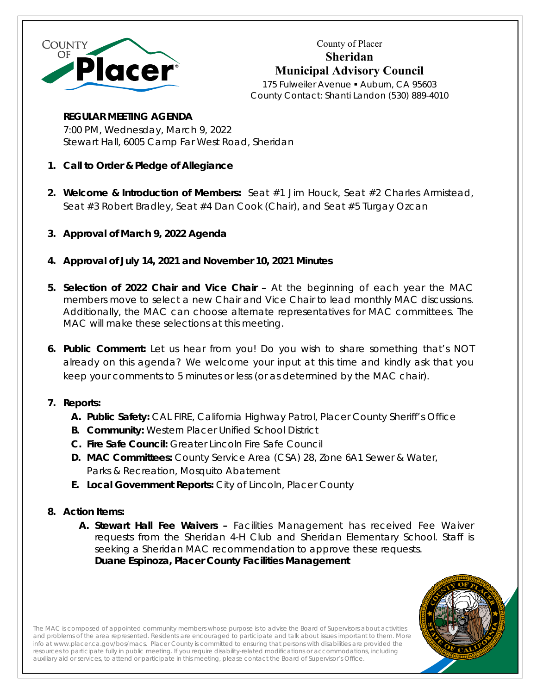

County of Placer **Sheridan Municipal Advisory Council** 

175 Fulweiler Avenue · Auburn, CA 95603 County Contact: Shanti Landon (530) 889-4010

## **REGULAR MEETING AGENDA**

7:00 PM, Wednesday, March 9, 2022 Stewart Hall, 6005 Camp Far West Road, Sheridan

- **1. Call to Order & Pledge of Allegiance**
- **2. Welcome & Introduction of Members:** Seat #1 Jim Houck, Seat #2 Charles Armistead, Seat #3 Robert Bradley, Seat #4 Dan Cook (Chair), and Seat #5 Turgay Ozcan
- **3. Approval of March 9, 2022 Agenda**
- **4. Approval of July 14, 2021 and November 10, 2021 Minutes**
- **5. Selection of 2022 Chair and Vice Chair** At the beginning of each year the MAC members move to select a new Chair and Vice Chair to lead monthly MAC discussions. Additionally, the MAC can choose alternate representatives for MAC committees. The MAC will make these selections at this meeting.
- **6. Public Comment:** Let us hear from you! Do you wish to share something that's NOT already on this agenda? We welcome your input at this time and kindly ask that you keep your comments to 5 minutes or less (or as determined by the MAC chair).

## **7. Reports:**

- **A. Public Safety:** CAL FIRE, California Highway Patrol, Placer County Sheriff's Office
- **B. Community:** Western Placer Unified School District
- **C. Fire Safe Council:** Greater Lincoln Fire Safe Council
- **D. MAC Committees:** County Service Area (CSA) 28, Zone 6A1 Sewer & Water, Parks & Recreation, Mosquito Abatement
- **E. Local Government Reports:** City of Lincoln, Placer County

## **8. Action Items:**

**A. Stewart Hall Fee Waivers –** Facilities Management has received Fee Waiver requests from the Sheridan 4-H Club and Sheridan Elementary School. Staff is seeking a Sheridan MAC recommendation to approve these requests. **Duane Espinoza, Placer County Facilities Management**



The MAC is composed of appointed community members whose purpose is to advise the Board of Supervisors about activities and problems of the area represented. Residents are encouraged to participate and talk about issues important to them. More info at www.placer.ca.gov/bos/macs. Placer County is committed to ensuring that persons with disabilities are provided the resources to participate fully in public meeting. If you require disability-related modifications or accommodations, including resources to participate rulig in public meeting. If you require disability-related modifications of accommodations<br>auxiliary aid or services, to attend or participate in this meeting, please contact the Board of Superviso